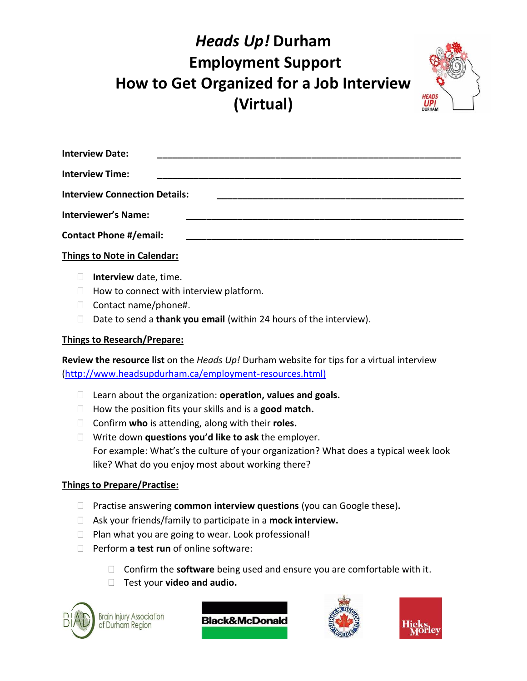## *Heads Up!* **Durham Employment Support How to Get Organized for a Job Interview (Virtual)**



| <b>Interview Date:</b>               |  |  |
|--------------------------------------|--|--|
| <b>Interview Time:</b>               |  |  |
| <b>Interview Connection Details:</b> |  |  |
| <b>Interviewer's Name:</b>           |  |  |
| <b>Contact Phone #/email:</b>        |  |  |
|                                      |  |  |

### **Things to Note in Calendar:**

- **Interview** date, time.
- $\Box$  How to connect with interview platform.
- □ Contact name/phone#.
- Date to send a **thank you email** (within 24 hours of the interview).

#### **Things to Research/Prepare:**

**Review the resource list** on the *Heads Up!* Durham website for tips for a virtual interview [\(http://www.headsupdurham.ca/employment-resources.html\)](http://www.headsupdurham.ca/employment-resources.html)

- Learn about the organization: **operation, values and goals.**
- How the position fits your skills and is a **good match.**
- Confirm **who** is attending, along with their **roles.**
- Write down **questions you'd like to ask** the employer. For example: What's the culture of your organization? What does a typical week look like? What do you enjoy most about working there?

#### **Things to Prepare/Practise:**

- Practise answering **common interview questions** (you can Google these)**.**
- Ask your friends/family to participate in a **mock interview.**
- $\Box$  Plan what you are going to wear. Look professional!
- Perform **a test run** of online software:
	- Confirm the **software** being used and ensure you are comfortable with it.
	- Test your **video and audio.**